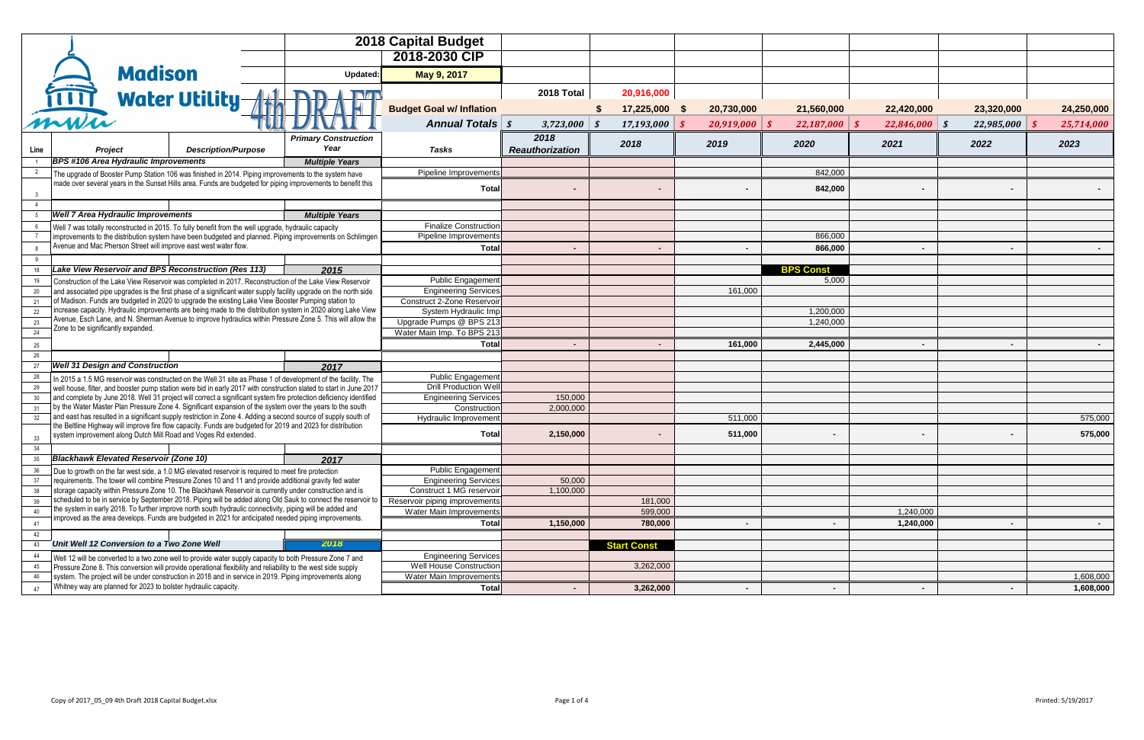|                 |                                    |                                               | <b>2018 Capital Budget</b>                                                                           |  |                                                                                                                                                                                                                                          |                                                           |                        |                    |                    |                           |                 |                 |            |
|-----------------|------------------------------------|-----------------------------------------------|------------------------------------------------------------------------------------------------------|--|------------------------------------------------------------------------------------------------------------------------------------------------------------------------------------------------------------------------------------------|-----------------------------------------------------------|------------------------|--------------------|--------------------|---------------------------|-----------------|-----------------|------------|
|                 |                                    |                                               |                                                                                                      |  |                                                                                                                                                                                                                                          | 2018-2030 CIP                                             |                        |                    |                    |                           |                 |                 |            |
|                 |                                    | <b>Madison</b>                                |                                                                                                      |  | Updated:                                                                                                                                                                                                                                 | May 9, 2017                                               |                        |                    |                    |                           |                 |                 |            |
|                 | $\overline{\phantom{a}}$           |                                               |                                                                                                      |  |                                                                                                                                                                                                                                          |                                                           | <b>2018 Total</b>      | 20,916,000         |                    |                           |                 |                 |            |
|                 | mun                                |                                               | <b>Water Utility</b>                                                                                 |  |                                                                                                                                                                                                                                          | <b>Budget Goal w/ Inflation</b>                           |                        | 17,225,000         | 20,730,000<br>- \$ | 21,560,000                | 22,420,000      | 23,320,000      | 24,250,000 |
|                 |                                    |                                               |                                                                                                      |  |                                                                                                                                                                                                                                          | <b>Annual Totals   \$</b>                                 | $3,723,000$ \$         | $17,193,000$ \$    | 20,919,000         | 22,187,000                | $22,846,000$ \$ | $22,985,000$ \$ | 25,714,000 |
|                 |                                    |                                               |                                                                                                      |  | <b>Primary Construction</b>                                                                                                                                                                                                              |                                                           | 2018                   |                    |                    |                           |                 |                 |            |
| Line            |                                    | <b>Project</b>                                | <b>Description/Purpose</b>                                                                           |  | Year                                                                                                                                                                                                                                     | <b>Tasks</b>                                              | <b>Reauthorization</b> | 2018               | 2019               | 2020                      | 2021            | 2022            | 2023       |
|                 |                                    | <b>BPS #106 Area Hydraulic Improvements</b>   |                                                                                                      |  | <b>Multiple Years</b>                                                                                                                                                                                                                    |                                                           |                        |                    |                    |                           |                 |                 |            |
|                 |                                    |                                               |                                                                                                      |  | The upgrade of Booster Pump Station 106 was finished in 2014. Piping improvements to the system have                                                                                                                                     | <b>Pipeline Improvements</b>                              |                        |                    |                    | 842,000                   |                 |                 |            |
|                 |                                    |                                               |                                                                                                      |  | made over several years in the Sunset Hills area. Funds are budgeted for piping improvements to benefit this                                                                                                                             | <b>Total</b>                                              |                        |                    |                    | 842,000                   |                 |                 |            |
|                 |                                    |                                               |                                                                                                      |  |                                                                                                                                                                                                                                          |                                                           |                        |                    |                    |                           |                 |                 |            |
|                 |                                    | <b>Well 7 Area Hydraulic Improvements</b>     |                                                                                                      |  | <b>Multiple Years</b>                                                                                                                                                                                                                    |                                                           |                        |                    |                    |                           |                 |                 |            |
|                 |                                    |                                               | Well 7 was totally reconstructed in 2015. To fully benefit from the well upgrade, hydraulic capacity |  |                                                                                                                                                                                                                                          | <b>Finalize Construction</b>                              |                        |                    |                    |                           |                 |                 |            |
|                 |                                    |                                               |                                                                                                      |  | improvements to the distribution system have been budgeted and planned. Piping improvements on Schlimgen                                                                                                                                 | Pipeline Improvements                                     |                        |                    |                    | 866,000                   |                 |                 |            |
|                 |                                    |                                               | Avenue and Mac Pherson Street will improve east west water flow.                                     |  |                                                                                                                                                                                                                                          | <b>Total</b>                                              |                        |                    |                    | 866,000                   |                 |                 |            |
|                 |                                    |                                               | Lake View Reservoir and BPS Reconstruction (Res 113)                                                 |  |                                                                                                                                                                                                                                          |                                                           |                        |                    |                    |                           |                 |                 |            |
|                 |                                    |                                               |                                                                                                      |  | 2015                                                                                                                                                                                                                                     | Public Engagement                                         |                        |                    |                    | <b>BPS Const</b><br>5,000 |                 |                 |            |
| 20              |                                    |                                               |                                                                                                      |  | Construction of the Lake View Reservoir was completed in 2017. Reconstruction of the Lake View Reservoir<br>and associated pipe upgrades is the first phase of a significant water supply facility upgrade on the north side             | <b>Engineering Services</b>                               |                        |                    | 161,000            |                           |                 |                 |            |
| 21              |                                    |                                               |                                                                                                      |  | of Madison. Funds are budgeted in 2020 to upgrade the existing Lake View Booster Pumping station to                                                                                                                                      | <b>Construct 2-Zone Reservoir</b>                         |                        |                    |                    |                           |                 |                 |            |
| 22              |                                    |                                               |                                                                                                      |  | increase capacity. Hydraulic improvements are being made to the distribution system in 2020 along Lake View                                                                                                                              | System Hydraulic Imp                                      |                        |                    |                    | 1,200,000                 |                 |                 |            |
| 23              |                                    |                                               |                                                                                                      |  | Avenue, Esch Lane, and N. Sherman Avenue to improve hydraulics within Pressure Zone 5. This will allow the                                                                                                                               | Upgrade Pumps @ BPS 213                                   |                        |                    |                    | 1,240,000                 |                 |                 |            |
| 2 <sub>A</sub>  | Zone to be significantly expanded. |                                               |                                                                                                      |  |                                                                                                                                                                                                                                          | Water Main Imp. To BPS 213                                |                        |                    |                    |                           |                 |                 |            |
| 25              |                                    |                                               |                                                                                                      |  |                                                                                                                                                                                                                                          | <b>Total</b>                                              |                        |                    | 161,000            | 2,445,000                 | $\sim$          |                 |            |
| 26              |                                    |                                               |                                                                                                      |  |                                                                                                                                                                                                                                          |                                                           |                        |                    |                    |                           |                 |                 |            |
|                 |                                    | <b>Well 31 Design and Construction</b>        |                                                                                                      |  | 2017                                                                                                                                                                                                                                     |                                                           |                        |                    |                    |                           |                 |                 |            |
| 28<br>29        |                                    |                                               |                                                                                                      |  | In 2015 a 1.5 MG reservoir was constructed on the Well 31 site as Phase 1 of development of the facility. The                                                                                                                            | <b>Public Engagement</b><br><b>Drill Production Well</b>  |                        |                    |                    |                           |                 |                 |            |
| 30 <sub>o</sub> |                                    |                                               |                                                                                                      |  | well house, filter, and booster pump station were bid in early 2017 with construction slated to start in June 2017<br>and complete by June 2018. Well 31 project will correct a significant system fire protection deficiency identified | <b>Engineering Services</b>                               | 150,000                |                    |                    |                           |                 |                 |            |
| 31              |                                    |                                               |                                                                                                      |  | by the Water Master Plan Pressure Zone 4. Significant expansion of the system over the years to the south                                                                                                                                | Construction                                              | 2,000,000              |                    |                    |                           |                 |                 |            |
| 32              |                                    |                                               |                                                                                                      |  | and east has resulted in a significant supply restriction in Zone 4. Adding a second source of supply south of                                                                                                                           | Hydraulic Improvement                                     |                        |                    | 511,000            |                           |                 |                 | 575,000    |
| 33              |                                    |                                               | system improvement along Dutch Mill Road and Voges Rd extended.                                      |  | the Beltline Highway will improve fire flow capacity. Funds are budgeted for 2019 and 2023 for distribution                                                                                                                              | <b>Total</b>                                              | 2,150,000              |                    | 511,000            |                           |                 |                 | 575,000    |
| 34              |                                    |                                               |                                                                                                      |  |                                                                                                                                                                                                                                          |                                                           |                        |                    |                    |                           |                 |                 |            |
| 35              |                                    | <b>Blackhawk Elevated Reservoir (Zone 10)</b> |                                                                                                      |  | 2017                                                                                                                                                                                                                                     |                                                           |                        |                    |                    |                           |                 |                 |            |
|                 |                                    |                                               | Due to growth on the far west side, a 1.0 MG elevated reservoir is required to meet fire protection  |  |                                                                                                                                                                                                                                          | Public Engagement                                         |                        |                    |                    |                           |                 |                 |            |
|                 |                                    |                                               |                                                                                                      |  | requirements. The tower will combine Pressure Zones 10 and 11 and provide additional gravity fed water<br>storage capacity within Pressure Zone 10. The Blackhawk Reservoir is currently under construction and is                       | <b>Engineering Services</b>                               | 50,000                 |                    |                    |                           |                 |                 |            |
| 39              |                                    |                                               |                                                                                                      |  | scheduled to be in service by September 2018. Piping will be added along Old Sauk to connect the reservoir to                                                                                                                            | Construct 1 MG reservoir<br>Reservoir piping improvements | 1,100,000              | 181,000            |                    |                           |                 |                 |            |
| 40              |                                    |                                               |                                                                                                      |  | the system in early 2018. To further improve north south hydraulic connectivity, piping will be added and                                                                                                                                | Water Main Improvements                                   |                        | 599,000            |                    |                           | 1,240,000       |                 |            |
| 41              |                                    |                                               |                                                                                                      |  | improved as the area develops. Funds are budgeted in 2021 for anticipated needed piping improvements.                                                                                                                                    | <b>Total</b>                                              | 1,150,000              | 780,000            |                    |                           | 1,240,000       |                 |            |
| 42              |                                    |                                               |                                                                                                      |  |                                                                                                                                                                                                                                          |                                                           |                        |                    |                    |                           |                 |                 |            |
| 43              |                                    | Unit Well 12 Conversion to a Two Zone Well    |                                                                                                      |  | 2018                                                                                                                                                                                                                                     |                                                           |                        | <b>Start Const</b> |                    |                           |                 |                 |            |
| 44              |                                    |                                               |                                                                                                      |  | Well 12 will be converted to a two zone well to provide water supply capacity to both Pressure Zone 7 and                                                                                                                                | <b>Engineering Services</b>                               |                        |                    |                    |                           |                 |                 |            |
| 45              |                                    |                                               |                                                                                                      |  | Pressure Zone 8. This conversion will provide operational flexibility and reliability to the west side supply                                                                                                                            | <b>Well House Construction</b>                            |                        | 3,262,000          |                    |                           |                 |                 |            |
| 46              |                                    |                                               |                                                                                                      |  | system. The project will be under construction in 2018 and in service in 2019. Piping improvements along                                                                                                                                 | <b>Water Main Improvements</b>                            |                        |                    |                    |                           |                 |                 | 1,608,000  |
| 47              |                                    |                                               | Whitney way are planned for 2023 to bolster hydraulic capacity.                                      |  |                                                                                                                                                                                                                                          | <b>Total</b>                                              |                        | 3,262,000          |                    |                           |                 |                 | 1,608,000  |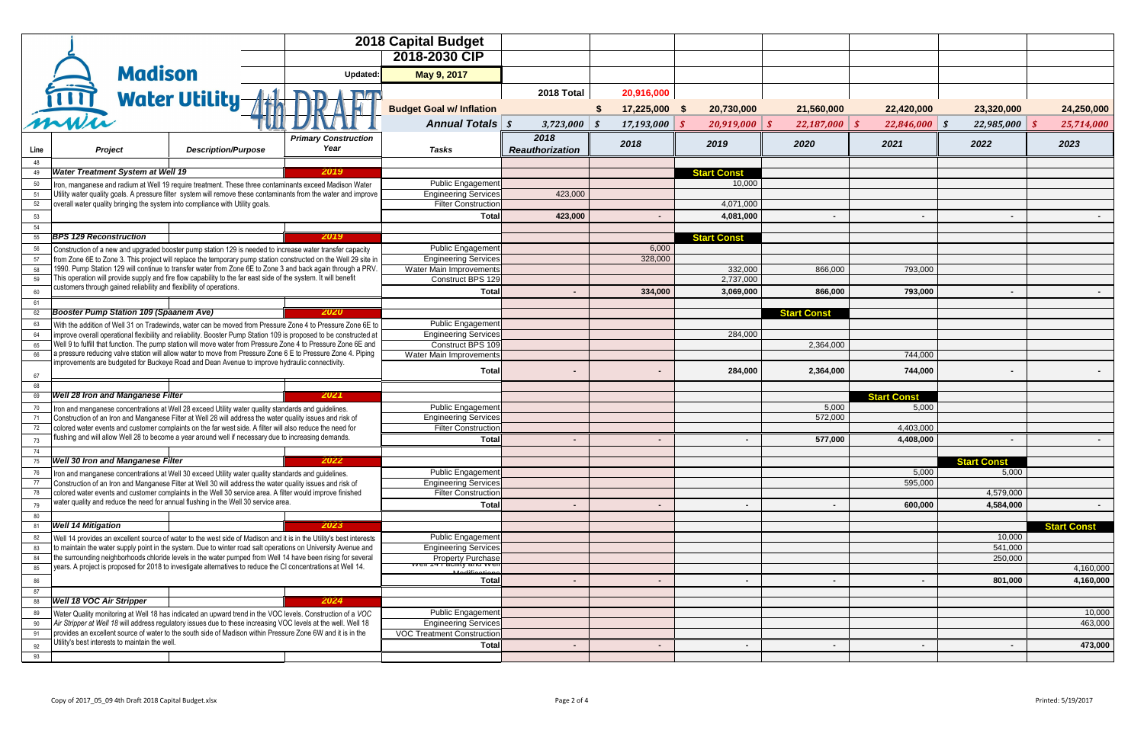|            |                                 |                                                                               | <b>2018 Capital Budget</b>                                                                          |                                                                                                                                                                                                                                  |                                                                                             |                        |                 |                    |           |                    |                    |                    |                    |
|------------|---------------------------------|-------------------------------------------------------------------------------|-----------------------------------------------------------------------------------------------------|----------------------------------------------------------------------------------------------------------------------------------------------------------------------------------------------------------------------------------|---------------------------------------------------------------------------------------------|------------------------|-----------------|--------------------|-----------|--------------------|--------------------|--------------------|--------------------|
|            |                                 |                                                                               |                                                                                                     | 2018-2030 CIP                                                                                                                                                                                                                    |                                                                                             |                        |                 |                    |           |                    |                    |                    |                    |
|            |                                 | <b>Madison</b>                                                                |                                                                                                     | Updated:                                                                                                                                                                                                                         | May 9, 2017                                                                                 |                        |                 |                    |           |                    |                    |                    |                    |
|            | $\bullet$                       |                                                                               |                                                                                                     |                                                                                                                                                                                                                                  |                                                                                             |                        |                 |                    |           |                    |                    |                    |                    |
|            | mww                             | <b>Water Utility-</b>                                                         |                                                                                                     |                                                                                                                                                                                                                                  |                                                                                             | 2018 Total             | 20,916,000      |                    |           |                    |                    |                    |                    |
|            |                                 |                                                                               |                                                                                                     |                                                                                                                                                                                                                                  | <b>Budget Goal w/ Inflation</b>                                                             |                        | 17,225,000      | 20,730,000         |           | 21,560,000         | 22,420,000         | 23,320,000         | 24,250,000         |
|            |                                 |                                                                               |                                                                                                     |                                                                                                                                                                                                                                  | <b>Annual Totals   \$</b>                                                                   | $3,723,000$ \$         | $17,193,000$ \$ | 20,919,000         |           | 22,187,000<br>- \$ | $22,846,000$ \$    | $22,985,000$ \$    | 25,714,000         |
|            |                                 |                                                                               |                                                                                                     | <b>Primary Construction</b><br>Year                                                                                                                                                                                              |                                                                                             | 2018                   | 2018            | 2019               |           | 2020               | 2021               | 2022               | 2023               |
| Line<br>48 |                                 | <b>Project</b>                                                                | <b>Description/Purpose</b>                                                                          |                                                                                                                                                                                                                                  | <b>Tasks</b>                                                                                | <b>Reauthorization</b> |                 |                    |           |                    |                    |                    |                    |
| 49         |                                 | <b>Water Treatment System at Well 19</b>                                      |                                                                                                     | 2019                                                                                                                                                                                                                             |                                                                                             |                        |                 | <b>Start Const</b> |           |                    |                    |                    |                    |
| 50         |                                 |                                                                               |                                                                                                     | Iron, manganese and radium at Well 19 require treatment. These three contaminants exceed Madison Water                                                                                                                           | Public Engagement                                                                           |                        |                 |                    | 10,000    |                    |                    |                    |                    |
| 51<br>52   |                                 | overall water quality bringing the system into compliance with Utility goals. |                                                                                                     | Utility water quality goals. A pressure filter system will remove these contaminants from the water and improve                                                                                                                  | <b>Engineering Services</b><br><b>Filter Construction</b>                                   | 423,000                |                 |                    | 4,071,000 |                    |                    |                    |                    |
| 53         |                                 |                                                                               |                                                                                                     |                                                                                                                                                                                                                                  | <b>Total</b>                                                                                | 423,000                |                 |                    | 4,081,000 |                    |                    |                    |                    |
| 54         |                                 |                                                                               |                                                                                                     |                                                                                                                                                                                                                                  |                                                                                             |                        |                 |                    |           |                    |                    |                    |                    |
| 55         | <b>BPS 129 Reconstruction</b>   |                                                                               |                                                                                                     | 2019                                                                                                                                                                                                                             |                                                                                             |                        |                 | <b>Start Const</b> |           |                    |                    |                    |                    |
| 56         |                                 |                                                                               |                                                                                                     | Construction of a new and upgraded booster pump station 129 is needed to increase water transfer capacity                                                                                                                        | <b>Public Engagement</b>                                                                    |                        | 6,000           |                    |           |                    |                    |                    |                    |
| 57<br>58   |                                 |                                                                               |                                                                                                     | from Zone 6E to Zone 3. This project will replace the temporary pump station constructed on the Well 29 site in<br>1990. Pump Station 129 will continue to transfer water from Zone 6E to Zone 3 and back again through a PRV.   | <b>Engineering Services</b><br><b>Water Main Improvements</b>                               |                        | 328,000         |                    | 332,000   | 866,000            | 793,000            |                    |                    |
| 59         |                                 |                                                                               |                                                                                                     | This operation will provide supply and fire flow capability to the far east side of the system. It will benefit                                                                                                                  | Construct BPS 129                                                                           |                        |                 |                    | 2,737,000 |                    |                    |                    |                    |
| 60         |                                 | customers through gained reliability and flexibility of operations.           |                                                                                                     |                                                                                                                                                                                                                                  | <b>Total</b>                                                                                |                        | 334,000         |                    | 3,069,000 | 866,000            | 793,000            |                    |                    |
| 61         |                                 |                                                                               |                                                                                                     |                                                                                                                                                                                                                                  |                                                                                             |                        |                 |                    |           |                    |                    |                    |                    |
| 62         |                                 | <b>Booster Pump Station 109 (Spaanem Ave)</b>                                 |                                                                                                     | 2020                                                                                                                                                                                                                             |                                                                                             |                        |                 |                    |           | <b>Start Const</b> |                    |                    |                    |
| 63         |                                 |                                                                               |                                                                                                     | With the addition of Well 31 on Tradewinds, water can be moved from Pressure Zone 4 to Pressure Zone 6E to<br>improve overall operational flexibility and reliability. Booster Pump Station 109 is proposed to be constructed at | <b>Public Engagement</b><br><b>Engineering Services</b>                                     |                        |                 |                    | 284,000   |                    |                    |                    |                    |
| 65         |                                 |                                                                               |                                                                                                     | Well 9 to fulfill that function. The pump station will move water from Pressure Zone 4 to Pressure Zone 6E and                                                                                                                   | <b>Construct BPS 109</b>                                                                    |                        |                 |                    |           | 2,364,000          |                    |                    |                    |
| 66         |                                 |                                                                               |                                                                                                     | a pressure reducing valve station will allow water to move from Pressure Zone 6 E to Pressure Zone 4. Piping                                                                                                                     | Water Main Improvements                                                                     |                        |                 |                    |           |                    | 744,000            |                    |                    |
|            |                                 |                                                                               | improvements are budgeted for Buckeye Road and Dean Avenue to improve hydraulic connectivity.       |                                                                                                                                                                                                                                  | Total                                                                                       |                        |                 |                    | 284,000   | 2,364,000          | 744,000            |                    |                    |
| 67<br>68   |                                 |                                                                               |                                                                                                     |                                                                                                                                                                                                                                  |                                                                                             |                        |                 |                    |           |                    |                    |                    |                    |
| 69         |                                 | <b>Well 28 Iron and Manganese Filter</b>                                      |                                                                                                     | 2021                                                                                                                                                                                                                             |                                                                                             |                        |                 |                    |           |                    | <b>Start Const</b> |                    |                    |
| 70         |                                 |                                                                               | Iron and manganese concentrations at Well 28 exceed Utility water quality standards and guidelines. |                                                                                                                                                                                                                                  | Public Engagement                                                                           |                        |                 |                    |           | 5,000              | 5,000              |                    |                    |
| 72         |                                 |                                                                               |                                                                                                     | Construction of an Iron and Manganese Filter at Well 28 will address the water quality issues and risk of<br>colored water events and customer complaints on the far west side. A filter will also reduce the need for           | <b>Engineering Services</b><br><b>Filter Construction</b>                                   |                        |                 |                    |           | 572,000            | 4,403,000          |                    |                    |
| 73         |                                 |                                                                               |                                                                                                     | flushing and will allow Well 28 to become a year around well if necessary due to increasing demands.                                                                                                                             | <b>Total</b>                                                                                |                        |                 |                    |           | 577,000            | 4,408,000          |                    |                    |
| 74         |                                 |                                                                               |                                                                                                     |                                                                                                                                                                                                                                  |                                                                                             |                        |                 |                    |           |                    |                    |                    |                    |
| 75         |                                 | <b>Well 30 Iron and Manganese Filter</b>                                      |                                                                                                     | 2022                                                                                                                                                                                                                             |                                                                                             |                        |                 |                    |           |                    |                    | <b>Start Const</b> |                    |
| 76         |                                 |                                                                               | Iron and manganese concentrations at Well 30 exceed Utility water quality standards and guidelines. |                                                                                                                                                                                                                                  | <b>Public Engagement</b>                                                                    |                        |                 |                    |           |                    | 5,000              | 5,000              |                    |
| 77         |                                 |                                                                               |                                                                                                     | Construction of an Iron and Manganese Filter at Well 30 will address the water quality issues and risk of<br>colored water events and customer complaints in the Well 30 service area. A filter would improve finished           | <b>Engineering Services</b><br><b>Filter Construction</b>                                   |                        |                 |                    |           |                    | 595,000            | 4,579,000          |                    |
| 79         |                                 |                                                                               | water quality and reduce the need for annual flushing in the Well 30 service area.                  |                                                                                                                                                                                                                                  | Total                                                                                       |                        |                 |                    |           |                    | 600,000            | 4,584,000          |                    |
| 80         |                                 |                                                                               |                                                                                                     |                                                                                                                                                                                                                                  |                                                                                             |                        |                 |                    |           |                    |                    |                    |                    |
| 81         | <b>Well 14 Mitigation</b>       |                                                                               |                                                                                                     | 2023                                                                                                                                                                                                                             |                                                                                             |                        |                 |                    |           |                    |                    |                    | <b>Start Const</b> |
| 82         |                                 |                                                                               |                                                                                                     | Well 14 provides an excellent source of water to the west side of Madison and it is in the Utility's best interests                                                                                                              | <b>Public Engagement</b>                                                                    |                        |                 |                    |           |                    |                    | 10,000             |                    |
| 83<br>84   |                                 |                                                                               |                                                                                                     | to maintain the water supply point in the system. Due to winter road salt operations on University Avenue and<br>the surrounding neighborhoods chloride levels in the water pumped from Well 14 have been rising for several     | <b>Engineering Services</b><br><b>Property Purchase</b>                                     |                        |                 |                    |           |                    |                    | 541,000<br>250,000 |                    |
| 85         |                                 |                                                                               |                                                                                                     | years. A project is proposed for 2018 to investigate alternatives to reduce the CI concentrations at Well 14.                                                                                                                    | <del>vven 14 r'acmiy anu vven</del><br>$\overline{A}$ and $\overline{B}$ and $\overline{B}$ |                        |                 |                    |           |                    |                    |                    | 4,160,000          |
| 86         |                                 |                                                                               |                                                                                                     |                                                                                                                                                                                                                                  | <b>Total</b>                                                                                |                        |                 |                    |           |                    |                    | 801,000            | 4,160,000          |
| 87         |                                 |                                                                               |                                                                                                     |                                                                                                                                                                                                                                  |                                                                                             |                        |                 |                    |           |                    |                    |                    |                    |
| 88         | <b>Well 18 VOC Air Stripper</b> |                                                                               |                                                                                                     | 2024                                                                                                                                                                                                                             |                                                                                             |                        |                 |                    |           |                    |                    |                    |                    |
| 89<br>90   |                                 |                                                                               |                                                                                                     | Water Quality monitoring at Well 18 has indicated an upward trend in the VOC levels. Construction of a VOC<br>Air Stripper at Well 18 will address regulatory issues due to these increasing VOC levels at the well. Well 18     | Public Engagement<br><b>Engineering Services</b>                                            |                        |                 |                    |           |                    |                    |                    | 10,000<br>463,000  |
| 91         |                                 |                                                                               |                                                                                                     | provides an excellent source of water to the south side of Madison within Pressure Zone 6W and it is in the                                                                                                                      | <b>VOC Treatment Construction</b>                                                           |                        |                 |                    |           |                    |                    |                    |                    |
| 92         |                                 | Utility's best interests to maintain the well.                                |                                                                                                     |                                                                                                                                                                                                                                  | <b>Total</b>                                                                                | $\sim$                 | $\sim$          |                    | $\sim$    | $\sim$             | $\sim$             | $\sim$             | 473,000            |
| 93         |                                 |                                                                               |                                                                                                     |                                                                                                                                                                                                                                  |                                                                                             |                        |                 |                    |           |                    |                    |                    |                    |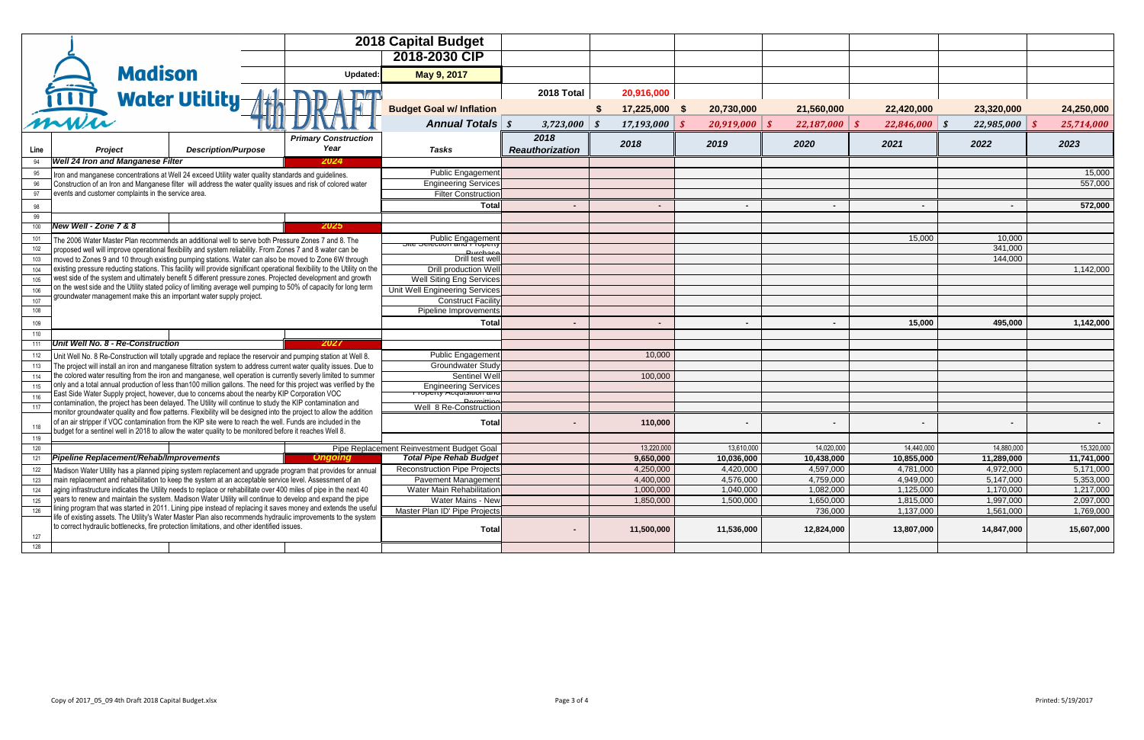| <b>Capital Budget</b>                            |                                         |                                          |                                          |                                          |                                          |                                          |                                          |
|--------------------------------------------------|-----------------------------------------|------------------------------------------|------------------------------------------|------------------------------------------|------------------------------------------|------------------------------------------|------------------------------------------|
| 2018-2030 CIP                                    |                                         |                                          |                                          |                                          |                                          |                                          |                                          |
| May 9, 2017                                      |                                         |                                          |                                          |                                          |                                          |                                          |                                          |
|                                                  | 2018 Total                              | 20,916,000                               |                                          |                                          |                                          |                                          |                                          |
| <b>Budget Goal w/ Inflation</b>                  |                                         | 17,225,000<br>\$                         | 20,730,000<br>$\boldsymbol{\mathsf{s}}$  | 21,560,000                               | 22,420,000                               | 23,320,000                               | 24,250,000                               |
| <b>Annual Totals</b>                             | $\boldsymbol{\mathcal{S}}$<br>3,723,000 | 17,193,000<br>$\boldsymbol{\mathcal{S}}$ | 20,919,000<br>$\boldsymbol{\mathcal{S}}$ | $\boldsymbol{\mathcal{S}}$<br>22,187,000 | $\boldsymbol{\mathcal{S}}$<br>22,846,000 | 22,985,000<br>$\boldsymbol{\mathcal{S}}$ | $\boldsymbol{\mathcal{S}}$<br>25,714,000 |
| <b>Tasks</b>                                     | 2018<br><b>Reauthorization</b>          | 2018                                     | 2019                                     | 2020                                     | 2021                                     | 2022                                     | 2023                                     |
| Public Engagement                                |                                         |                                          |                                          |                                          |                                          |                                          | 15,000                                   |
| <b>Engineering Services</b>                      |                                         |                                          |                                          |                                          |                                          |                                          | 557,000                                  |
| Filter Construction                              |                                         |                                          |                                          |                                          |                                          |                                          |                                          |
| <b>Total</b>                                     |                                         |                                          |                                          |                                          |                                          | $\blacksquare$                           | 572,000                                  |
|                                                  |                                         |                                          |                                          |                                          |                                          |                                          |                                          |
|                                                  |                                         |                                          |                                          |                                          |                                          |                                          |                                          |
| Public Engagement                                |                                         |                                          |                                          |                                          | 15,000                                   | 10,000                                   |                                          |
| Durchoec                                         |                                         |                                          |                                          |                                          |                                          | 341,000                                  |                                          |
| Drill test well<br>Drill production Well         |                                         |                                          |                                          |                                          |                                          | 144,000                                  | 1,142,000                                |
| Well Siting Eng Services                         |                                         |                                          |                                          |                                          |                                          |                                          |                                          |
| Unit Well Engineering Services                   |                                         |                                          |                                          |                                          |                                          |                                          |                                          |
| <b>Construct Facility</b>                        |                                         |                                          |                                          |                                          |                                          |                                          |                                          |
| Pipeline Improvements                            |                                         |                                          |                                          |                                          |                                          |                                          |                                          |
| <b>Total</b>                                     | $\blacksquare$                          | $\blacksquare$                           | $\blacksquare$                           | $\blacksquare$                           | 15,000                                   | 495,000                                  | 1,142,000                                |
|                                                  |                                         |                                          |                                          |                                          |                                          |                                          |                                          |
|                                                  |                                         |                                          |                                          |                                          |                                          |                                          |                                          |
| Public Engagement                                |                                         | 10,000                                   |                                          |                                          |                                          |                                          |                                          |
| Groundwater Study                                |                                         |                                          |                                          |                                          |                                          |                                          |                                          |
| Sentinel Well                                    |                                         | 100,000                                  |                                          |                                          |                                          |                                          |                                          |
| Engineering Services<br>Dorm <sub>if</sub>       |                                         |                                          |                                          |                                          |                                          |                                          |                                          |
| Well 8 Re-Construction                           |                                         |                                          |                                          |                                          |                                          |                                          |                                          |
| <b>Total</b>                                     |                                         | 110,000                                  |                                          |                                          | Ξ.                                       | $\blacksquare$                           |                                          |
|                                                  |                                         |                                          |                                          |                                          |                                          |                                          |                                          |
| ent Reinvestment Budget Goal                     |                                         | 13,220,000                               | 13,610,000                               | 14,020,000                               | 14,440,000                               | 14,880,000                               | 15,320,000                               |
| <b>Total Pipe Rehab Budget</b>                   |                                         | 9,650,000                                | 10,036,000                               | 10,438,000                               | 10,855,000                               | 11,289,000                               | 11,741,000                               |
| Reconstruction Pipe Projects                     |                                         | 4,250,000                                | 4,420,000                                | 4,597,000                                | 4,781,000                                | 4,972,000                                | 5,171,000                                |
| Pavement Management<br>Water Main Rehabilitation |                                         | 4,400,000<br>1,000,000                   | 4,576,000<br>1,040,000                   | 4,759,000<br>1,082,000                   | 4,949,000<br>1,125,000                   | 5,147,000<br>1,170,000                   | 5,353,000<br>1,217,000                   |
| Water Mains - New                                |                                         | 1,850,000                                | 1,500,000                                | 1,650,000                                | 1,815,000                                | 1,997,000                                | 2,097,000                                |
| Master Plan ID' Pipe Projects                    |                                         |                                          |                                          | 736,000                                  | 1,137,000                                | 1,561,000                                | 1,769,000                                |
| Total                                            | $\blacksquare$                          | 11,500,000                               | 11,536,000                               | 12,824,000                               | 13,807,000                               | 14,847,000                               | 15,607,000                               |
|                                                  |                                         |                                          |                                          |                                          |                                          |                                          |                                          |

|            |                                  |                                                                                                            |                            |                                                                                                                                                                                                                                           | <b>2018 Capital Budget</b>                                  |                        |                 |                          |                 |        |                 |                |            |
|------------|----------------------------------|------------------------------------------------------------------------------------------------------------|----------------------------|-------------------------------------------------------------------------------------------------------------------------------------------------------------------------------------------------------------------------------------------|-------------------------------------------------------------|------------------------|-----------------|--------------------------|-----------------|--------|-----------------|----------------|------------|
|            |                                  |                                                                                                            |                            |                                                                                                                                                                                                                                           | 2018-2030 CIP                                               |                        |                 |                          |                 |        |                 |                |            |
|            |                                  | <b>Madison</b>                                                                                             |                            | Updated:                                                                                                                                                                                                                                  | May 9, 2017                                                 |                        |                 |                          |                 |        |                 |                |            |
|            | $\ddot{\bullet}$                 |                                                                                                            |                            |                                                                                                                                                                                                                                           |                                                             |                        |                 |                          |                 |        |                 |                |            |
|            |                                  | <b>Water Utility-</b>                                                                                      |                            |                                                                                                                                                                                                                                           |                                                             | 2018 Total             | 20,916,000      |                          |                 |        |                 |                |            |
|            |                                  |                                                                                                            |                            |                                                                                                                                                                                                                                           | <b>Budget Goal w/ Inflation</b>                             |                        | 17,225,000 \$   | 20,730,000               | 21,560,000      |        | 22,420,000      | 23,320,000     | 24,250,000 |
|            | mwin                             |                                                                                                            |                            |                                                                                                                                                                                                                                           | <b>Annual Totals   \$</b>                                   | $3,723,000$ \$         | $17,193,000$ \$ | $20,919,000$ \$          | $22,187,000$ \$ |        | $22,846,000$ \$ | 22,985,000     | 25,714,000 |
|            |                                  |                                                                                                            |                            | <b>Primary Construction</b>                                                                                                                                                                                                               |                                                             | 2018                   | 2018            | 2019                     | 2020            |        | 2021            | 2022           | 2023       |
| Line       |                                  | Project                                                                                                    | <b>Description/Purpose</b> | Year                                                                                                                                                                                                                                      | <b>Tasks</b>                                                | <b>Reauthorization</b> |                 |                          |                 |        |                 |                |            |
|            |                                  | <b>Well 24 Iron and Manganese Filter</b>                                                                   |                            | 2024                                                                                                                                                                                                                                      |                                                             |                        |                 |                          |                 |        |                 |                |            |
| 95         |                                  | Iron and manganese concentrations at Well 24 exceed Utility water quality standards and guidelines.        |                            |                                                                                                                                                                                                                                           | Public Engagement                                           |                        |                 |                          |                 |        |                 |                | 15,000     |
|            |                                  |                                                                                                            |                            | Construction of an Iron and Manganese filter will address the water quality issues and risk of colored water                                                                                                                              | <b>Engineering Services</b>                                 |                        |                 |                          |                 |        |                 |                | 557,000    |
| 97         |                                  | events and customer complaints in the service area.                                                        |                            |                                                                                                                                                                                                                                           | <b>Filter Construction</b>                                  |                        |                 |                          |                 |        |                 |                |            |
| 98         |                                  |                                                                                                            |                            |                                                                                                                                                                                                                                           | <b>Total</b>                                                | $\blacksquare$         |                 | $\overline{\phantom{0}}$ |                 | $\sim$ | $\blacksquare$  | $\blacksquare$ | 572,000    |
| 99         |                                  |                                                                                                            |                            |                                                                                                                                                                                                                                           |                                                             |                        |                 |                          |                 |        |                 |                |            |
| 100        | <b>New Well - Zone 7 &amp; 8</b> |                                                                                                            |                            | 2025                                                                                                                                                                                                                                      |                                                             |                        |                 |                          |                 |        |                 |                |            |
|            |                                  | The 2006 Water Master Plan recommends an additional well to serve both Pressure Zones 7 and 8. The         |                            |                                                                                                                                                                                                                                           | Public Engagement                                           |                        |                 |                          |                 |        | 15,000          | 10,000         |            |
|            |                                  | proposed well will improve operational flexibility and system reliability. From Zones 7 and 8 water can be |                            |                                                                                                                                                                                                                                           | Durchocc                                                    |                        |                 |                          |                 |        |                 | 341,000        |            |
| 103        |                                  |                                                                                                            |                            | moved to Zones 9 and 10 through existing pumping stations. Water can also be moved to Zone 6W through                                                                                                                                     | Drill test well                                             |                        |                 |                          |                 |        |                 | 144,000        |            |
| 104        |                                  |                                                                                                            |                            | existing pressure reducting stations. This facility will provide significant operational flexibility to the Utility on the<br>west side of the system and ultimately benefit 5 different pressure zones. Projected development and growth | Drill production Well                                       |                        |                 |                          |                 |        |                 |                | 1,142,000  |
| 105        |                                  |                                                                                                            |                            | on the west side and the Utility stated policy of limiting average well pumping to 50% of capacity for long term                                                                                                                          | Well Siting Eng Services                                    |                        |                 |                          |                 |        |                 |                |            |
| 106        |                                  | groundwater management make this an important water supply project.                                        |                            |                                                                                                                                                                                                                                           | Unit Well Engineering Services<br><b>Construct Facility</b> |                        |                 |                          |                 |        |                 |                |            |
| 107<br>108 |                                  |                                                                                                            |                            |                                                                                                                                                                                                                                           | <b>Pipeline Improvements</b>                                |                        |                 |                          |                 |        |                 |                |            |
|            |                                  |                                                                                                            |                            |                                                                                                                                                                                                                                           |                                                             |                        |                 |                          |                 |        |                 |                |            |
| 109        |                                  |                                                                                                            |                            |                                                                                                                                                                                                                                           | <b>Total</b>                                                |                        |                 |                          |                 |        | 15,000          | 495,000        | 1,142,000  |
| 110        |                                  | Unit Well No. 8 - Re-Construction                                                                          |                            | 2027                                                                                                                                                                                                                                      |                                                             |                        |                 |                          |                 |        |                 |                |            |
|            |                                  |                                                                                                            |                            |                                                                                                                                                                                                                                           | <b>Public Engagement</b>                                    |                        | 10,000          |                          |                 |        |                 |                |            |
|            |                                  |                                                                                                            |                            | Unit Well No. 8 Re-Construction will totally upgrade and replace the reservoir and pumping station at Well 8.<br>The project will install an iron and manganese filtration system to address current water quality issues. Due to         | <b>Groundwater Study</b>                                    |                        |                 |                          |                 |        |                 |                |            |
|            |                                  |                                                                                                            |                            | the colored water resulting from the iron and manganese, well operation is currently severly limited to summer                                                                                                                            | <b>Sentinel Well</b>                                        |                        | 100,000         |                          |                 |        |                 |                |            |
| 115        |                                  |                                                                                                            |                            | only and a total annual production of less than100 million gallons. The need for this project was verified by the                                                                                                                         | <b>Engineering Services</b>                                 |                        |                 |                          |                 |        |                 |                |            |
|            |                                  | East Side Water Supply project, however, due to concerns about the nearby KIP Corporation VOC              |                            |                                                                                                                                                                                                                                           | $\tau$ דוסףפונץ תכנקמו $\sigma$ ומוסוד                      |                        |                 |                          |                 |        |                 |                |            |
|            |                                  | contamination, the project has been delayed. The Utility will continue to study the KIP contamination and  |                            |                                                                                                                                                                                                                                           | Dorm <sub>1</sub><br>Well 8 Re-Construction                 |                        |                 |                          |                 |        |                 |                |            |
|            |                                  |                                                                                                            |                            | monitor groundwater quality and flow patterns. Flexibility will be designed into the project to allow the addition<br>of an air stripper if VOC contamination from the KIP site were to reach the well. Funds are included in the         |                                                             |                        |                 |                          |                 |        |                 |                |            |
|            |                                  | budget for a sentinel well in 2018 to allow the water quality to be monitored before it reaches Well 8.    |                            |                                                                                                                                                                                                                                           | <b>Total</b>                                                |                        | 110,000         |                          |                 |        |                 |                |            |
| 119        |                                  |                                                                                                            |                            |                                                                                                                                                                                                                                           |                                                             |                        |                 |                          |                 |        |                 |                |            |
| 120        |                                  |                                                                                                            |                            |                                                                                                                                                                                                                                           | Pipe Replacement Reinvestment Budget Goal                   |                        | 13,220,000      | 13,610,000               | 14,020,000      |        | 14,440,000      | 14,880,000     | 15,320,000 |
| 121        |                                  | Pipeline Replacement/Rehab/Improvements                                                                    |                            | <b>Ongoing</b>                                                                                                                                                                                                                            | <b>Total Pipe Rehab Budget</b>                              |                        | 9,650,000       | 10,036,000               | 10,438,000      |        | 10,855,000      | 11,289,000     | 11,741,000 |
| 122        |                                  |                                                                                                            |                            | Madison Water Utility has a planned piping system replacement and upgrade program that provides for annual                                                                                                                                | <b>Reconstruction Pipe Projects</b>                         |                        | 4,250,000       | 4,420,000                | 4,597,000       |        | 4,781,000       | 4,972,000      | 5,171,000  |
| 123        |                                  |                                                                                                            |                            | main replacement and rehabilitation to keep the system at an acceptable service level. Assessment of an                                                                                                                                   | Pavement Management                                         |                        | 4,400,000       | 4,576,000                | 4,759,000       |        | 4,949,000       | 5,147,000      | 5,353,000  |
| 124        |                                  |                                                                                                            |                            | aging infrastructure indicates the Utility needs to replace or rehabilitate over 400 miles of pipe in the next 40<br>years to renew and maintain the system. Madison Water Utility will continue to develop and expand the pipe           | <b>Water Main Rehabilitation</b>                            |                        | 1,000,000       | 1,040,000                | 1,082,000       |        | 1,125,000       | 1,170,000      | 1,217,000  |
| 125        |                                  |                                                                                                            |                            | lining program that was started in 2011. Lining pipe instead of replacing it saves money and extends the useful                                                                                                                           | <b>Water Mains - New</b>                                    |                        | 1,850,000       | 1,500,000                | 1,650,000       |        | 1,815,000       | 1,997,000      | 2,097,000  |
| 126        |                                  |                                                                                                            |                            | life of existing assets. The Utility's Water Master Plan also recommends hydraulic improvements to the system                                                                                                                             | Master Plan ID' Pipe Projects                               |                        |                 |                          | 736,000         |        | 1,137,000       | 1,561,000      | 1,769,000  |
|            |                                  | to correct hydraulic bottlenecks, fire protection limitations, and other identified issues.                |                            |                                                                                                                                                                                                                                           | <b>Total</b>                                                |                        | 11,500,000      | 11,536,000               | 12,824,000      |        | 13,807,000      | 14,847,000     | 15,607,000 |
| 127        |                                  |                                                                                                            |                            |                                                                                                                                                                                                                                           |                                                             |                        |                 |                          |                 |        |                 |                |            |
| 128        |                                  |                                                                                                            |                            |                                                                                                                                                                                                                                           |                                                             |                        |                 |                          |                 |        |                 |                |            |